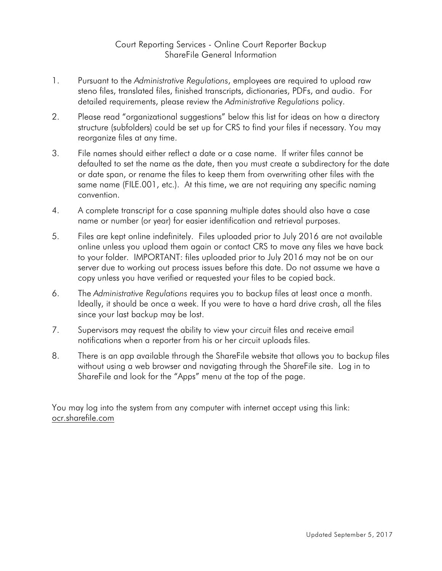## Court Reporting Services - Online Court Reporter Backup ShareFile General Information

- 1. Pursuant to the *Administrative Regulations*, employees are required to upload raw steno files, translated files, finished transcripts, dictionaries, PDFs, and audio. For detailed requirements, please review the *Administrative Regulations* policy.
- 2. Please read "organizational suggestions" below this list for ideas on how a directory structure (subfolders) could be set up for CRS to find your files if necessary. You may reorganize files at any time.
- 3. File names should either reflect a date or a case name. If writer files cannot be defaulted to set the name as the date, then you must create a subdirectory for the date or date span, or rename the files to keep them from overwriting other files with the same name (FILE.001, etc.). At this time, we are not requiring any specific naming convention.
- 4. A complete transcript for a case spanning multiple dates should also have a case name or number (or year) for easier identification and retrieval purposes.
- 5. Files are kept online indefinitely. Files uploaded prior to July 2016 are not available online unless you upload them again or contact CRS to move any files we have back to your folder. IMPORTANT: files uploaded prior to July 2016 may not be on our server due to working out process issues before this date. Do not assume we have a copy unless you have verified or requested your files to be copied back.
- 6. The *Administrative Regulations* requires you to backup files at least once a month. Ideally, it should be once a week. If you were to have a hard drive crash, all the files since your last backup may be lost.
- 7. Supervisors may request the ability to view your circuit files and receive email notifications when a reporter from his or her circuit uploads files.
- 8. There is an app available through the ShareFile website that allows you to backup files without using a web browser and navigating through the ShareFile site. Log in to ShareFile and look for the "Apps" menu at the top of the page.

You may log into the system from any computer with internet accept using this link: ocr.sharefile.com